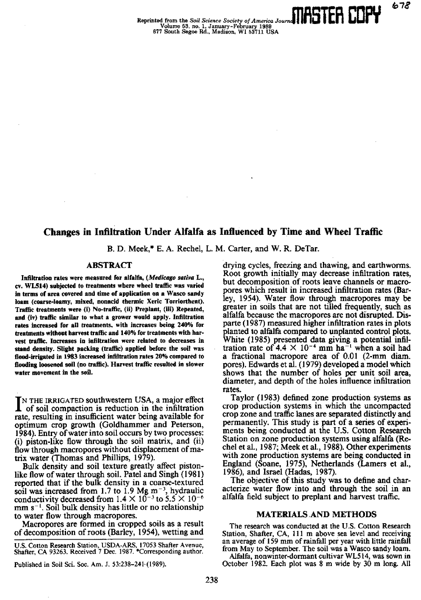# **Changes in Infiltration Under Alfalfa as Influenced by Time and Wheel Traffic**

B. D. Meek,\* E. A. Rechel, L. M. Carter, and W. R. DeTar.

# **ABSTRACT**

**Infiltration rates were measured for alfalfa,** *(Medicago saliva* L., **cv. WL514) subjected to treatments where wheel traffic was varied in terms of area covered and time of application on a Wasco sandy loam (coarse-loamy, mixed, nonacid thermic Xeric Torriorthent).** Traffic treatments were (i) No-traffic, (ii) Preplant, (iii) Repeated, **and (iv) traffic similar to what a grower would apply. Infiltration rates increased for all treatments, with increases being 240% for treatments without harvest traffic and 140% for treatments with harvest traffic.** Increases in infiltration were related to decreases in **stand density. Slight packing (traffic) applied before the soil was flood-irrigated in 1983 increased infiltration rates 20% compared to flooding loosened soil (no traffic). Harvest traffic resulted in slower water movement in the soil.**

IN THE IRRIGATED southwestern USA, a major effect<br>of soil compaction is reduction in the infiltration NTHE IRRIGATED southwestern USA, a major effect rate, resulting in insufficient water being available for optimum crop growth (Goldhammer and Peterson, 1984). Entry of water into soil occurs by two processes: (i) piston-like flow through the soil matrix, and (ii) flow through macropores without displacement of matrix water (Thomas and Phillips, 1979).

Bulk density and soil texture greatly affect pistonlike flow of water through soil. Patel and Singh (1981) reported that if the bulk density in a coarse-textured soil was increased from 1.7 to 1.9 Mg  $\mathrm{m}^{-3}$ , hydraulic conductivity decreased from 1.4  $\times$  10<sup>-3</sup> to 5.5  $\times$  10<sup>-6</sup>  $mm s^{-1}$ . Soil bulk density has little or no relationship to water flow through macropores.

Macropores are formed in cropped soils as a result of decomposition of roots (Barley, 1954), wetting and

U.S. Cotton Research Station, USDA-ARS, 17053 Shaffer Avenue, Shafter, CA 93263. Received 7 Dec. 1987. \*Corresponding author.

Published in Soil Sci. Soc. Am. J. 53:238-241 (1989).

drying cycles, freezing and thawing, and earthworms. Root growth initially may decrease infiltration rates, but decomposition of roots leave channels or macropores which result in increased infiltration rates (Barley, 1954). Water flow through macropores may be greater in soils that are not tilled frequently, such as alfalfa because the macropores are not disrupted. Disparte (1987) measured higher infiltration rates in plots planted to alfalfa compared to unplanted control plots. White (1985) presented data giving a potential infiltration rate of 4.4  $\times$  10<sup>-4</sup> mm ha<sup>-1</sup> when a soil had a fractional macropore area of 0.01 (2-mm diam. pores). Edwards et al. (1979) developed a model which shows that the number of holes per unit soil area, diameter, and depth of the holes influence infiltration rates.

Taylor (1983) defined zone production systems as crop production systems in which the uncompacted crop zone and traffic lanes are separated distinctly and permanently. This study is part of a series of experiments being conducted at the U.S. Cotton Research Station on zone production systems using alfalfa (Rechel et al., 1987; Meek et al., 1988). Other experiments with zone production systems are being conducted in England (Soane, 1975), Netherlands (Lamers et al., 1986), and Israel (Hadas, 1987).

The objective of this study was to define and characterize water flow into and through the soil in an alfalfa field subject to preplant and harvest traffic.

# MATERIALS ,AND METHODS

The research was conducted at the U.S. Cotton Research Station, Shafter, CA, 111 m above sea level and receiving an average of 159 mm of rainfall per year with little rainfall from May to September. The soil was a Wasco sandy loam.

Alfalfa, nonwinter-dormant cultivar W1.514, was sown in October 1982. Each plot was 8 m wide by 30 m long. All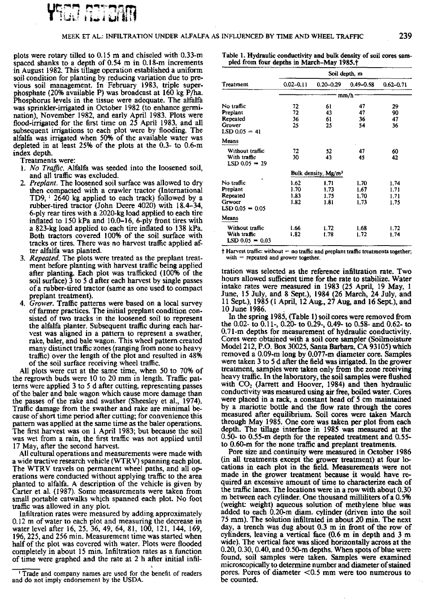

plots were rotary tilled to 0.15 m and chiseled with 0.33-rn spaced shanks to a depth of 0.54 m in 0.18-m increments in August 1982. This tillage operation established a uniform soil condition for planting by reducing variation due to previous soil management. In February 1983, triple superphosphate (20% available P) was broadcast at 160 kg P/ha. Phosphorus levels in the tissue were adequate. The alfalfa was sprinkler-irrigated in October 1982 (to enhance germination), November 1982, and early April 1983. Plots *were* flood-irrigated for the first time on 25 April 1983, and all subsequent irrigations to each plot were by flooding. The alfalfa was irrigated when 50% of the available water was depleted in at least 25% of the plots at the 0.3- to 0.6-m index depth.

Treatments were:

- *1. No Traffic.* Alfalfa was seeded into the loosened soil, and all traffic was excluded.
- *2. Preplant.* The loosened soil surface was allowed to dry then compacted with a crawler tractor (International TD9,  $\frac{1}{2640}$  kg applied to each track) followed by a rubber-tired tractor (John Deere 4020) with 18.4-34, 6-ply rear tires with a 2020-kg load applied to each tire inflated to 150 kPa and 10.0-16, 6-ply front tires with a 823-kg load applied to each tire inflated to 138 kPa. Both tractors covered 100% of the soil surface with tracks or tires. There was no harvest traffic applied after alfalfa was planted.
- *3. Repeated.* The plots were treated as the preplant treatment before planting with harvest traffic being applied after planting. Each plot was trafficked (100% of the soil surface) 3 to 5 d after each harvest by single passes of a rubber-tired tractor (same as one used to compact preplant treatment).
- *4. Grower. Traffic* patterns were based on a local survey of farmer practices. The initial preplant condition consisted of two tracks in the loosened soil to represent the alfalfa planter. Subsequent traffic during each harvest was aligned in a pattern to represent a swather, rake, baler, and bale wagon. This wheel pattern created many distinct traffic zones (ranging from none to heavy traffic) over the length of the plot and resulted in 48% of the soil surface receiving wheel traffic.

All plots were cut at the same time, when 50 to 70% of the regrowth buds were 10 to 20 mm in length. Traffic patterns were applied 3 to 5 d after cutting, representing passes of the baler and bale wagon which cause more damage than the passes of the rake and swather (Sheesley et al., 1974). Traffic damage from the swather and rake are minimal because of short time period after cutting; for convenience this pattern was applied at the same time as the baler operations. The first harvest was on 1 April 1983; but because the soil was wet from a rain, the first traffic was not applied until 17 May, after the second harvest.

All cultural operations and measurements were made with a wide tractive research vehicle (WTRV) spanning each plot. The WTRV travels on permanent wheel paths, and all operations were conducted without applying traffic to the area planted to alfalfa. A description of the vehicle is given by Carter et al. (1987). Some measurements were taken from small portable catwalks which spanned each plot. No foot traffic was allowed in any plot.

Infiltration rates were measured by adding approximately 0.12 m of water to each plot and measuring the decrease in water level after 16, 25, 36, 49, 64, 81, 100, 121, 144, 169, 196, 225, and 256 min. Measurement time was started when half of the plot was covered with water. Plots were flooded completely in about 15 min. Infiltration rates as a function of time were graphed and the rate at 2 h after initial infilTable I. Hydraulic conductivity and bulk density of soil cores sampled from four depths in March-May 1985.<sup>†</sup>

|                                                                        | Soil depth, m                |                                 |                              |                              |
|------------------------------------------------------------------------|------------------------------|---------------------------------|------------------------------|------------------------------|
| Treatment                                                              | $0.02 - 0.11$                | $0.20 - 0.29$                   | $0.49 - 0.58$                | $0.62 - 0.71$                |
|                                                                        | mm/h                         |                                 |                              |                              |
| No traffic<br>Preplant<br>Repeated<br>Grower<br>$LSD 0.05 = 41$        | 72<br>72<br>36<br>25         | 61<br>43<br>61<br>25            | 47<br>47<br>36<br>54         | 29<br>90<br>47<br>36         |
| Means                                                                  |                              |                                 |                              |                              |
| Without traffic<br>With traffic<br>LSD 0.05 = 29                       | 72<br>30                     | 52<br>43                        | 47<br>45                     | 60<br>42                     |
|                                                                        |                              | Bulk density, Mg/m <sup>3</sup> |                              |                              |
| No traffic<br>Preplant<br>Repeated<br><b>Grwoer</b><br>LSD 0.05 = 0.05 | 1.62<br>1.70<br>1.83<br>1.82 | 1.71<br>1.73<br>1.75<br>1.81    | 1.70<br>1.67<br>1.70<br>1.73 | 1.74<br>1.71<br>1.71<br>1.75 |
| Means                                                                  |                              |                                 |                              |                              |
| Without traffic<br>With traffic<br>$LSD 0.05 = 0.03$                   | l.66<br>1.82                 | 1.72<br>1.78                    | 1.68<br>1.72                 | 1.72<br>1.74                 |

 $\dagger$  Harvest traffic: without = no traffic and preplant traffic treatments together; with  $=$  repeated and grower together.

tration was selected as the reference infiltration rate. Two hours allowed sufficient time for the rate to stabilize. Water intake rates were measured in 1983 (25 April, 19 May, 1 June, 15 July, and 8 Sept), 1984 (26 March, 24 July, and 11 Sept), 1985 (I April, 12 Aug., 27 Aug, and 16 Sept.), and 10 June 1986.

In the spring 1985, (Table 1) soil cores were removed from the 0.02- to 0.11-, 0.20- to 0.29-, 0.49- to 0.58- and 0.62- to 0.71-m depths for measurement of hydraulic conductivity. Cores were obtained with a soil core sampler (Soilmoisture Model 212, P.O. Box 30025, Santa Barbara, CA 93105) which removed a 0.09-m long by 0.077-m diameter core. Samples were taken 3 to 5 d after the field was irrigated. In the grower treatment, samples were taken only from the zone receiving heavy traffic. In the laboratory, the soil samples were flushed with  $CO<sub>2</sub>$  (Jarrett and Hoover, 1984) and then hydraulic conductivity was measured using air free, boiled water. Cores were placed in a rack, a constant head of 5 cm maintained by a mariotte bottle and the flow rate through the cores measured after equilibrium. Soil cores were taken March through May 1985. One core was taken per plot from each depth. The tillage interface in 1985 was measured at the 0.50- to 0.55-m depth for the repeated treatment and 0.55 to 0.60-m for the none traffic and preplant treatments.

Pore size and continuity were measured in October 1986 (in all treatments except the grower treatment) at four locations in each plot in the field. Measurements were not made in the grower treatment because it would have required an excessive amount of time to characterize each of the traffic lanes. The locations were in a row with about 0.30 m between each cylinder. One thousand milliliters of a 0.5% (weight: weight) aqueous solution of methylene blue was added to each 0.20-m diam. cylinder (driven into the soil 75 mm). The solution infiltrated in about 20 min. The next day, a trench was dug about 0.3 m in front of the row of cylinders, leaving a vertical face (0.6 m in depth and 3 m wide). The vertical face was sliced horizontally across at the 0.20, 0.30, 0.40, and 0.50-m depths. When spots of blue were found, soil samples were taken. Samples were examined microscopically to determine number and diameter of stained pores. Pores of diameter  $< 0.5$  mm were too numerous to be counted.

<sup>&#</sup>x27; Trade and company names are used for the benefit of readers and do not imply endorsement by the USDA.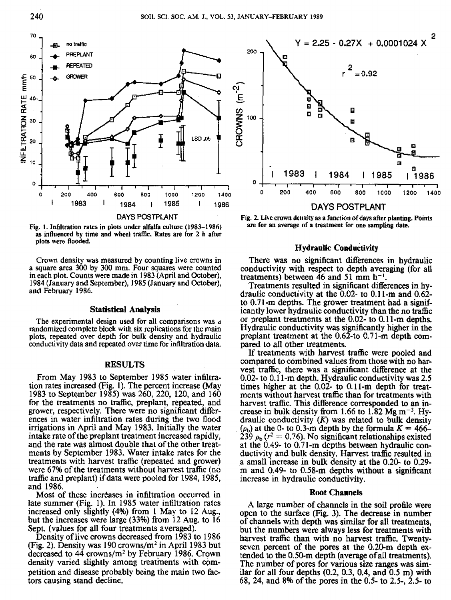

**Fig. 1. Infiltration rates in plots under alfalfa culture (1983-1986)** as influenced by time **and wheel** traffic. Rates are for 2 h after plots were flooded.

Crown density was measured by counting live crowns in a square area 300 by 300 mm. Four squares were counted in each plot. Counts were made in 1983 (April and October), 1984 (January and September), 1985 (January and October), and February 1986.

#### **Statistical Analysis**

The experimental design used for all comparisons was randomized complete block with six replications for the main plots, repeated over depth for bulk density and hydraulic conductivity data and repeated over time for infiltration data.

## **RESULTS**

From May 1983 to September 1985 water infiltration rates increased (Fig. 1). The percent increase (May 1983 to September 1985) was 260, 220, 120, and 160 for the treatments no traffic, preplant, repeated, and grower, respectively. There were no significant differences in water infiltration rates during the two flood irrigations in April and May 1983. Initially the water intake rate of the preplant treatment increased rapidly, and the rate was almost double that of the other treatments by September 1983. Water intake rates for the treatments with harvest traffic (repeated and grower) were 67% of the treatments without harvest traffic (no traffic and preplant) if data were pooled for 1984, 1985, and 1986.

Most of these increases in infiltration occurred in late summer (Fig. 1). In 1985 water infiltration rates increased only slightly (4%) from 1 May to 12 Aug., but the increases were large (33%) from 12 Aug. to 16 Sept. (values for all four treatments averaged).

Density of live crowns decreased from 1983 to 1986 (Fig. 2). Density was 190 crowns/ $m<sup>2</sup>$  in April 1983 but decreased to  $44$  crowns/m<sup>2</sup> by February 1986. Crown density varied slightly among treatments with COMpetition and disease probably being the main two factors causing stand decline.



Fig. 2. Live crown density as a function of days after **planting. Points are for an average of a treatment for one sampling date.**

#### **Hydraulic Conductivity**

There was no significant differences in hydraulic conductivity with respect to depth averaging (for all treatments) between 46 and 51 mm  $h^{-1}$ .

Treatments resulted in significant differences in hydraulic conductivity at the 0.02- to 0.11-m and 0.62 to 0.71-m depths. The grower treatment had a significantly lower hydraulic conductivity than the no traffic or preplant treatments at the 0.02- to 0.11-m depths. Hydraulic conductivity was significantly higher in the preplant treatment at the 0.62-to 0.71-m depth compared to all other treatments.

If treatments with harvest traffic were pooled and compared to combined values from those with no harvest traffic, there was a significant difference at the 0.02- to 0.11-m depth. Hydraulic conductivity was 2.5 times higher at the 0.02- to 0.11-m depth for treatments without harvest traffic than for treatments with harvest traffic. This difference corresponded to an increase in bulk density from 1.66 to 1.82 Mg  $m^{-3}$ . Hydraulic conductivity *(K)* was related to bulk density draulic conductivity  $(K)$  was related to bulk density  $(\rho_0)$  at the 0- to 0.3-m depth by the formula  $K = 466 (\rho_b)$  at the 0- to 0.3-m depth by the formula  $K = 466-239 \rho_b (r^2 = 0.76)$ . No significant relationships existed at the 0.49- to 0.71-m depths between hydraulic conductivity and bulk density. Harvest traffic resulted in a small increase in bulk density at the 0.20- to 0.29 m and 0.49- to 0.58-m depths without a significant increase in hydraulic conductivity.

#### Root Channels

A large number of channels in the soil profile were open to the surface (Fig. 3). The decrease in number of channels with depth was similar for all treatments, but the numbers were always less for treatments with harvest traffic than with no harvest traffic. Twentyseven percent of the pores at the 0.20-m depth extended to the 0.50-m depth (average of all treatments). The number of pores for various size ranges was similar for all four depths (0.2, 0.3, 0.4, and 0.5 m) with 68, 24, and 8% of the pores in the 0.5- to 2.5-, 2.5- to